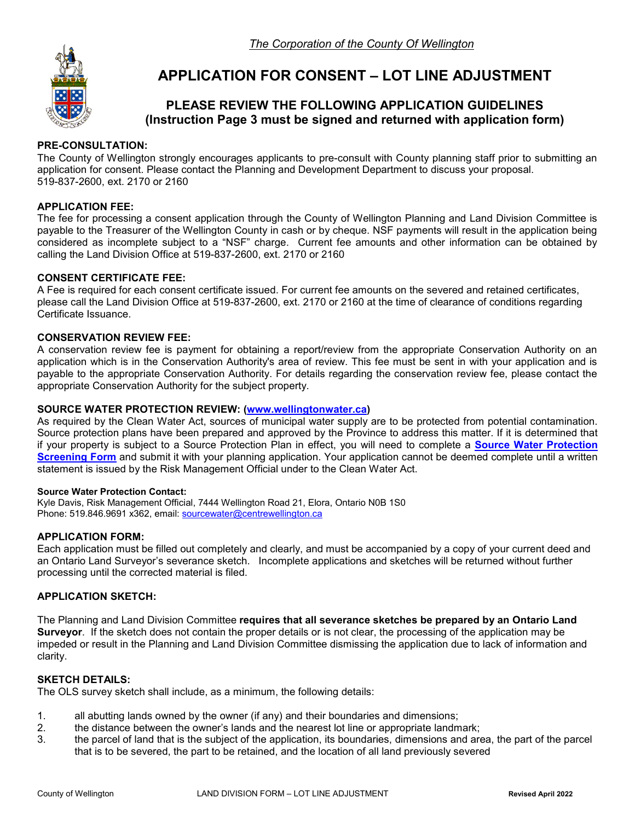

# **APPLICATION FOR CONSENT – LOT LINE ADJUSTMENT**

# **PLEASE REVIEW THE FOLLOWING APPLICATION GUIDELINES (Instruction Page 3 must be signed and returned with application form)**

### **PRE-CONSULTATION:**

The County of Wellington strongly encourages applicants to pre-consult with County planning staff prior to submitting an application for consent. Please contact the Planning and Development Department to discuss your proposal. 519-837-2600, ext. 2170 or 2160

### **APPLICATION FEE:**

The fee for processing a consent application through the County of Wellington Planning and Land Division Committee is payable to the Treasurer of the Wellington County in cash or by cheque. NSF payments will result in the application being considered as incomplete subject to a "NSF" charge. Current fee amounts and other information can be obtained by calling the Land Division Office at 519-837-2600, ext. 2170 or 2160

### **CONSENT CERTIFICATE FEE:**

A Fee is required for each consent certificate issued. For current fee amounts on the severed and retained certificates, please call the Land Division Office at 519-837-2600, ext. 2170 or 2160 at the time of clearance of conditions regarding Certificate Issuance.

#### **CONSERVATION REVIEW FEE:**

A conservation review fee is payment for obtaining a report/review from the appropriate Conservation Authority on an application which is in the Conservation Authority's area of review. This fee must be sent in with your application and is payable to the appropriate Conservation Authority. For details regarding the conservation review fee, please contact the appropriate Conservation Authority for the subject property.

#### **SOURCE WATER PROTECTION REVIEW: [\(www.wellingtonwater.ca\)](http://www.wellingtonwater.ca/)**

As required by the Clean Water Act, sources of municipal water supply are to be protected from potential contamination. Source protection plans have been prepared and approved by the Province to address this matter. If it is determined that if your property is subject to a Source Protection Plan in effect, you will need to complete a **[Source Water Protection](https://www.wellington.ca/en/resident-services/resources/Planning/Development-Applications/Source-Water-Protection-Application-June-2018.pdf)  [Screening Form](https://www.wellington.ca/en/resident-services/resources/Planning/Development-Applications/Source-Water-Protection-Application-June-2018.pdf)** and submit it with your planning application. Your application cannot be deemed complete until a written statement is issued by the Risk Management Official under to the Clean Water Act.

#### **Source Water Protection Contact:**

Kyle Davis, Risk Management Official, 7444 Wellington Road 21, Elora, Ontario N0B 1S0 Phone: 519.846.9691 x362, email[: sourcewater@centrewellington.ca](mailto:sourcewater@centrewellington.ca)

### **APPLICATION FORM:**

Each application must be filled out completely and clearly, and must be accompanied by a copy of your current deed and an Ontario Land Surveyor's severance sketch. Incomplete applications and sketches will be returned without further processing until the corrected material is filed.

### **APPLICATION SKETCH:**

The Planning and Land Division Committee **requires that all severance sketches be prepared by an Ontario Land Surveyor**. If the sketch does not contain the proper details or is not clear, the processing of the application may be impeded or result in the Planning and Land Division Committee dismissing the application due to lack of information and clarity.

# **SKETCH DETAILS:**

The OLS survey sketch shall include, as a minimum, the following details:

- 1. all abutting lands owned by the owner (if any) and their boundaries and dimensions;
- 2. the distance between the owner's lands and the nearest lot line or appropriate landmark;
- 3. the parcel of land that is the subject of the application, its boundaries, dimensions and area, the part of the parcel that is to be severed, the part to be retained, and the location of all land previously severed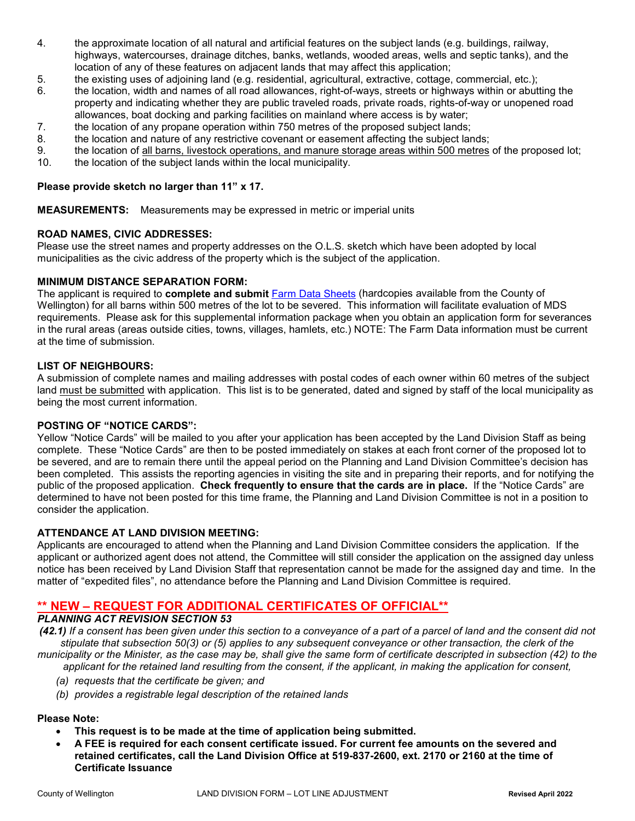- 4. the approximate location of all natural and artificial features on the subject lands (e.g. buildings, railway, highways, watercourses, drainage ditches, banks, wetlands, wooded areas, wells and septic tanks), and the location of any of these features on adjacent lands that may affect this application;
- 5. the existing uses of adjoining land (e.g. residential, agricultural, extractive, cottage, commercial, etc.);
- 6. the location, width and names of all road allowances, right-of-ways, streets or highways within or abutting the property and indicating whether they are public traveled roads, private roads, rights-of-way or unopened road allowances, boat docking and parking facilities on mainland where access is by water;
- 7. the location of any propane operation within 750 metres of the proposed subject lands;
- 8. the location and nature of any restrictive covenant or easement affecting the subject lands;
- 9. the location of all barns, livestock operations, and manure storage areas within 500 metres of the proposed lot;
- 10. the location of the subject lands within the local municipality.

#### **Please provide sketch no larger than 11" x 17.**

**MEASUREMENTS:** Measurements may be expressed in metric or imperial units

#### **ROAD NAMES, CIVIC ADDRESSES:**

Please use the street names and property addresses on the O.L.S. sketch which have been adopted by local municipalities as the civic address of the property which is the subject of the application.

#### **MINIMUM DISTANCE SEPARATION FORM:**

The applicant is required to **complete and submit** [Farm Data Sheets](https://www.wellington.ca/en/resident-services/resources/Planning/Development-Applications/MDS1-Farm-Data-Sheet-Dec-2019-VER.pdf) (hardcopies available from the County of Wellington) for all barns within 500 metres of the lot to be severed. This information will facilitate evaluation of MDS requirements. Please ask for this supplemental information package when you obtain an application form for severances in the rural areas (areas outside cities, towns, villages, hamlets, etc.) NOTE: The Farm Data information must be current at the time of submission.

#### **LIST OF NEIGHBOURS:**

A submission of complete names and mailing addresses with postal codes of each owner within 60 metres of the subject land must be submitted with application. This list is to be generated, dated and signed by staff of the local municipality as being the most current information.

#### **POSTING OF "NOTICE CARDS":**

Yellow "Notice Cards" will be mailed to you after your application has been accepted by the Land Division Staff as being complete. These "Notice Cards" are then to be posted immediately on stakes at each front corner of the proposed lot to be severed, and are to remain there until the appeal period on the Planning and Land Division Committee's decision has been completed. This assists the reporting agencies in visiting the site and in preparing their reports, and for notifying the public of the proposed application. **Check frequently to ensure that the cards are in place.** If the "Notice Cards" are determined to have not been posted for this time frame, the Planning and Land Division Committee is not in a position to consider the application.

## **ATTENDANCE AT LAND DIVISION MEETING:**

Applicants are encouraged to attend when the Planning and Land Division Committee considers the application. If the applicant or authorized agent does not attend, the Committee will still consider the application on the assigned day unless notice has been received by Land Division Staff that representation cannot be made for the assigned day and time. In the matter of "expedited files", no attendance before the Planning and Land Division Committee is required.

# **\*\* NEW – REQUEST FOR ADDITIONAL CERTIFICATES OF OFFICIAL\*\***

#### *PLANNING ACT REVISION SECTION 53*

*(42.1) If a consent has been given under this section to a conveyance of a part of a parcel of land and the consent did not stipulate that subsection 50(3) or (5) applies to any subsequent conveyance or other transaction, the clerk of the municipality or the Minister, as the case may be, shall give the same form of certificate descripted in subsection (42) to the applicant for the retained land resulting from the consent, if the applicant, in making the application for consent,* 

- *(a) requests that the certificate be given; and*
- *(b) provides a registrable legal description of the retained lands*

## **Please Note:**

- **This request is to be made at the time of application being submitted.**
- **A FEE is required for each consent certificate issued. For current fee amounts on the severed and retained certificates, call the Land Division Office at 519-837-2600, ext. 2170 or 2160 at the time of Certificate Issuance**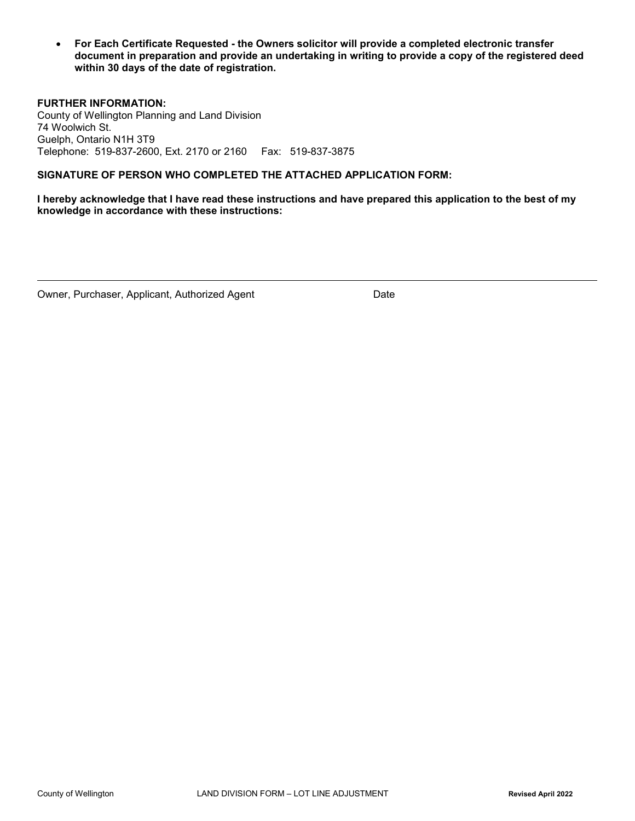• **For Each Certificate Requested - the Owners solicitor will provide a completed electronic transfer document in preparation and provide an undertaking in writing to provide a copy of the registered deed within 30 days of the date of registration.**

**FURTHER INFORMATION:**  County of Wellington Planning and Land Division 74 Woolwich St. Guelph, Ontario N1H 3T9 Telephone: 519-837-2600, Ext. 2170 or 2160 Fax: 519-837-3875

#### **SIGNATURE OF PERSON WHO COMPLETED THE ATTACHED APPLICATION FORM:**

**I hereby acknowledge that I have read these instructions and have prepared this application to the best of my knowledge in accordance with these instructions:**

Owner, Purchaser, Applicant, Authorized Agent Date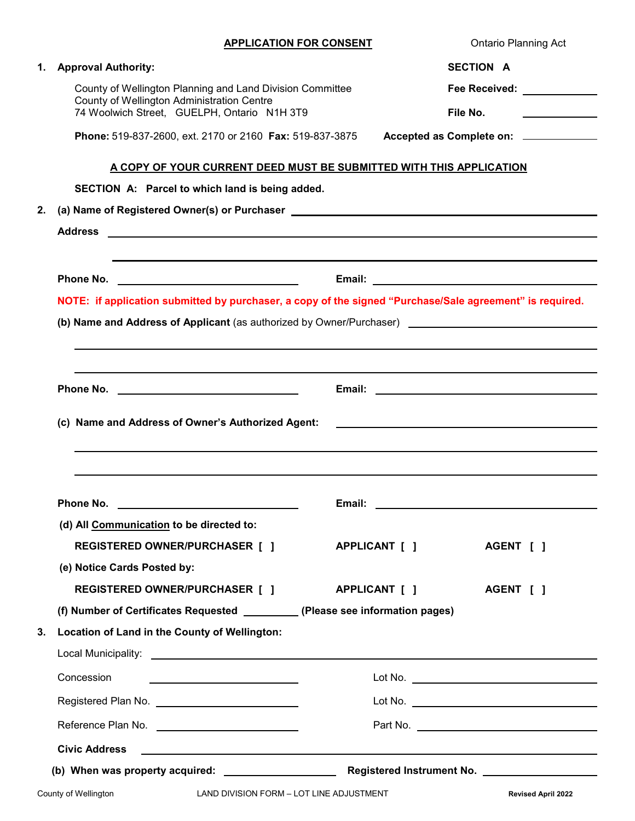**Ontario Planning Act** 

|    | 1. Approval Authority:                                                                                                                        |               | SECTION A |                                                     |
|----|-----------------------------------------------------------------------------------------------------------------------------------------------|---------------|-----------|-----------------------------------------------------|
|    | County of Wellington Planning and Land Division Committee                                                                                     |               |           | Fee Received: <u>_________</u>                      |
|    | County of Wellington Administration Centre<br>74 Woolwich Street, GUELPH, Ontario N1H 3T9                                                     |               |           | File No.                                            |
|    | Phone: 519-837-2600, ext. 2170 or 2160 Fax: 519-837-3875                                                                                      |               |           | Accepted as Complete on: _____________              |
|    | A COPY OF YOUR CURRENT DEED MUST BE SUBMITTED WITH THIS APPLICATION                                                                           |               |           |                                                     |
|    | SECTION A: Parcel to which land is being added.                                                                                               |               |           |                                                     |
| 2. | (a) Name of Registered Owner(s) or Purchaser ___________________________________                                                              |               |           |                                                     |
|    |                                                                                                                                               |               |           |                                                     |
|    |                                                                                                                                               |               |           |                                                     |
|    |                                                                                                                                               |               |           |                                                     |
|    | NOTE: if application submitted by purchaser, a copy of the signed "Purchase/Sale agreement" is required.                                      |               |           |                                                     |
|    | (b) Name and Address of Applicant (as authorized by Owner/Purchaser) [16] Name and Address of Applicant (as authorized by Owner/Purchaser)    |               |           |                                                     |
|    |                                                                                                                                               |               |           |                                                     |
|    |                                                                                                                                               |               |           |                                                     |
|    |                                                                                                                                               |               |           |                                                     |
|    | (c) Name and Address of Owner's Authorized Agent:                                                                                             |               |           | <u> 1989 - Johann Barbara, martxa alemaniar arg</u> |
|    |                                                                                                                                               |               |           |                                                     |
|    |                                                                                                                                               |               |           |                                                     |
|    |                                                                                                                                               |               |           |                                                     |
|    | Phone No. 2008 2012 12:00:00 12:00:00 12:00:00 12:00:00 12:00:00 12:00:00 12:00:00 12:00:00 12:00:00 12:00:00                                 | Email:        |           |                                                     |
|    | (d) All Communication to be directed to:                                                                                                      |               |           |                                                     |
|    | <b>REGISTERED OWNER/PURCHASER [ ]</b>                                                                                                         | APPLICANT [ ] |           | AGENT [ ]                                           |
|    | (e) Notice Cards Posted by:                                                                                                                   |               |           |                                                     |
|    | <b>REGISTERED OWNER/PURCHASER [ ]</b>                                                                                                         | APPLICANT [ ] |           | AGENT [ ]                                           |
|    | (f) Number of Certificates Requested ___________ (Please see information pages)                                                               |               |           |                                                     |
| 3. | Location of Land in the County of Wellington:                                                                                                 |               |           |                                                     |
|    |                                                                                                                                               |               |           |                                                     |
|    | Concession                                                                                                                                    |               |           |                                                     |
|    |                                                                                                                                               |               |           |                                                     |
|    |                                                                                                                                               |               |           |                                                     |
|    | <b>Civic Address</b><br><u> 1980 - Johann Harry Harry Harry Harry Harry Harry Harry Harry Harry Harry Harry Harry Harry Harry Harry Harry</u> |               |           |                                                     |
|    |                                                                                                                                               |               |           |                                                     |
|    | LAND DIVISION FORM - LOT LINE ADJUSTMENT<br>County of Wellington                                                                              |               |           | <b>Revised April 2022</b>                           |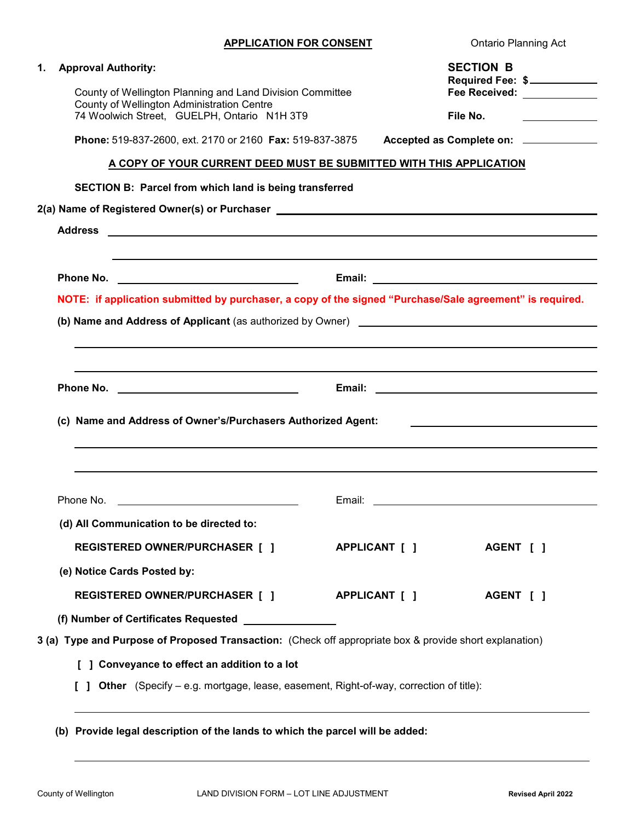|  |  | <b>APPLICATION FOR CONSENT</b> |
|--|--|--------------------------------|
|  |  |                                |

**Ontario Planning Act** 

| 1. | <b>Approval Authority:</b>                                                                                                    |               | <b>SECTION B</b><br>Required Fee: \$                                                                                  |  |  |  |  |
|----|-------------------------------------------------------------------------------------------------------------------------------|---------------|-----------------------------------------------------------------------------------------------------------------------|--|--|--|--|
|    | County of Wellington Planning and Land Division Committee                                                                     |               |                                                                                                                       |  |  |  |  |
|    | County of Wellington Administration Centre<br>74 Woolwich Street, GUELPH, Ontario N1H 3T9                                     |               | File No.<br>the company of the company of the company                                                                 |  |  |  |  |
|    | Phone: 519-837-2600, ext. 2170 or 2160 Fax: 519-837-3875                                                                      |               | Accepted as Complete on: ____________                                                                                 |  |  |  |  |
|    | <u>A COPY OF YOUR CURRENT DEED MUST BE SUBMITTED WITH THIS APPLICATION</u>                                                    |               |                                                                                                                       |  |  |  |  |
|    |                                                                                                                               |               |                                                                                                                       |  |  |  |  |
|    | SECTION B: Parcel from which land is being transferred                                                                        |               |                                                                                                                       |  |  |  |  |
|    | 2(a) Name of Registered Owner(s) or Purchaser __________________________________                                              |               |                                                                                                                       |  |  |  |  |
|    |                                                                                                                               |               |                                                                                                                       |  |  |  |  |
|    |                                                                                                                               |               |                                                                                                                       |  |  |  |  |
|    | NOTE: if application submitted by purchaser, a copy of the signed "Purchase/Sale agreement" is required.                      |               |                                                                                                                       |  |  |  |  |
|    |                                                                                                                               |               |                                                                                                                       |  |  |  |  |
|    | <b>(b) Name and Address of Applicant</b> (as authorized by Owner) <b>Contract Contract Contract Contract Contract Control</b> |               |                                                                                                                       |  |  |  |  |
|    |                                                                                                                               |               |                                                                                                                       |  |  |  |  |
|    |                                                                                                                               |               |                                                                                                                       |  |  |  |  |
|    |                                                                                                                               |               |                                                                                                                       |  |  |  |  |
|    |                                                                                                                               |               |                                                                                                                       |  |  |  |  |
|    |                                                                                                                               |               |                                                                                                                       |  |  |  |  |
|    | (c) Name and Address of Owner's/Purchasers Authorized Agent:                                                                  |               | <u> 1989 - Johann Harry Harry Harry Harry Harry Harry Harry Harry Harry Harry Harry Harry Harry Harry Harry Harry</u> |  |  |  |  |
|    |                                                                                                                               |               |                                                                                                                       |  |  |  |  |
|    |                                                                                                                               |               |                                                                                                                       |  |  |  |  |
|    | Phone No. <u>________________________________</u>                                                                             |               |                                                                                                                       |  |  |  |  |
|    |                                                                                                                               |               |                                                                                                                       |  |  |  |  |
|    | (d) All Communication to be directed to:                                                                                      |               |                                                                                                                       |  |  |  |  |
|    | <b>REGISTERED OWNER/PURCHASER [ ]</b>                                                                                         | APPLICANT [ ] | AGENT [ ]                                                                                                             |  |  |  |  |
|    | (e) Notice Cards Posted by:                                                                                                   |               |                                                                                                                       |  |  |  |  |
|    | REGISTERED OWNER/PURCHASER [ ] APPLICANT [ ]                                                                                  |               | AGENT [ ]                                                                                                             |  |  |  |  |
|    | (f) Number of Certificates Requested [100] Number of Certificates Requested                                                   |               |                                                                                                                       |  |  |  |  |
|    | 3 (a) Type and Purpose of Proposed Transaction: (Check off appropriate box & provide short explanation)                       |               |                                                                                                                       |  |  |  |  |
|    | [ ] Conveyance to effect an addition to a lot                                                                                 |               |                                                                                                                       |  |  |  |  |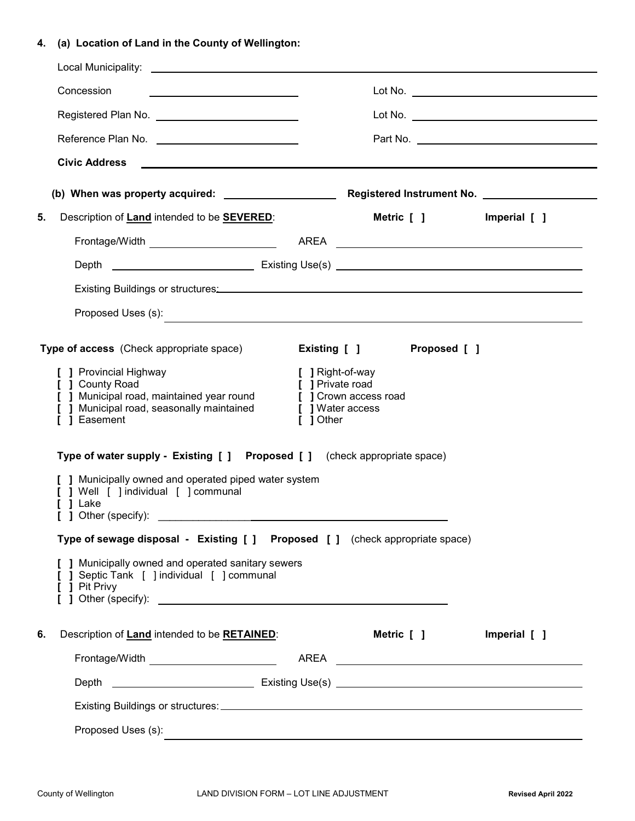# **4. (a) Location of Land in the County of Wellington:**

|    | Concession<br><u> 1989 - Johann Stein, mars an t-Amerikaansk ferskeizh (</u>                                                                                                                                                                                                                                                              |                                                                                                |              |              |
|----|-------------------------------------------------------------------------------------------------------------------------------------------------------------------------------------------------------------------------------------------------------------------------------------------------------------------------------------------|------------------------------------------------------------------------------------------------|--------------|--------------|
|    | Registered Plan No. No. 2008 10 10 10 10 11 12 12 13 14 15 16 17 18 18 19 19 19 19 19 19 19 19 19 19 19 19 19                                                                                                                                                                                                                             |                                                                                                |              |              |
|    | Reference Plan No. \\concorrelation No. \\concorrelation No. \\concorrelation No. \\concorrelation N                                                                                                                                                                                                                                      |                                                                                                |              |              |
|    | <b>Civic Address</b><br><u> 1989 - Andrea Barbara, poeta esperanto-poeta esperanto-poeta esperanto-poeta esperanto-poeta esperanto-poeta</u>                                                                                                                                                                                              |                                                                                                |              |              |
|    |                                                                                                                                                                                                                                                                                                                                           |                                                                                                |              |              |
| 5. | Description of Land intended to be <b>SEVERED</b> :                                                                                                                                                                                                                                                                                       |                                                                                                | Metric [ ]   | Imperial [ ] |
|    |                                                                                                                                                                                                                                                                                                                                           |                                                                                                |              |              |
|    |                                                                                                                                                                                                                                                                                                                                           |                                                                                                |              |              |
|    | Existing Buildings or structures: Manual Community of the Community of the Community of the Community of the Co                                                                                                                                                                                                                           |                                                                                                |              |              |
|    |                                                                                                                                                                                                                                                                                                                                           |                                                                                                |              |              |
|    | Type of access (Check appropriate space)                                                                                                                                                                                                                                                                                                  | Existing [ ]                                                                                   | Proposed [ ] |              |
|    | [ ] Provincial Highway<br>[ ] County Road<br>[ ] Municipal road, maintained year round<br>$\overline{\mathfrak{l}}$ ] Municipal road, seasonally maintained<br>[ ] Easement<br>Type of water supply - Existing [ ] Proposed [ ] (check appropriate space)                                                                                 | [ ] Right-of-way<br>[ ] Private road<br>[ ] Crown access road<br>[ ] Water access<br>[ ] Other |              |              |
|    | [ ] Municipally owned and operated piped water system<br>[ ] Well [ ] individual [ ] communal<br>1 Lake<br>] Other (specify): example and a set of the set of the set of the set of the set of the set of the set of the set of the set of the set of the set of the set of the set of the set of the set of the set of the set of the se |                                                                                                |              |              |
|    | Type of sewage disposal - Existing [ ] Proposed [ ] (check appropriate space)                                                                                                                                                                                                                                                             |                                                                                                |              |              |
|    | [ ] Municipally owned and operated sanitary sewers<br>[ ] Septic Tank [ ] individual [ ] communal<br>[ ] Pit Privy                                                                                                                                                                                                                        |                                                                                                |              |              |
| 6. | Description of <b>Land</b> intended to be <b>RETAINED</b> :                                                                                                                                                                                                                                                                               |                                                                                                | Metric [ ]   | Imperial [ ] |
|    |                                                                                                                                                                                                                                                                                                                                           |                                                                                                |              |              |
|    |                                                                                                                                                                                                                                                                                                                                           |                                                                                                |              |              |
|    |                                                                                                                                                                                                                                                                                                                                           |                                                                                                |              |              |
|    | Proposed Uses (s):                                                                                                                                                                                                                                                                                                                        |                                                                                                |              |              |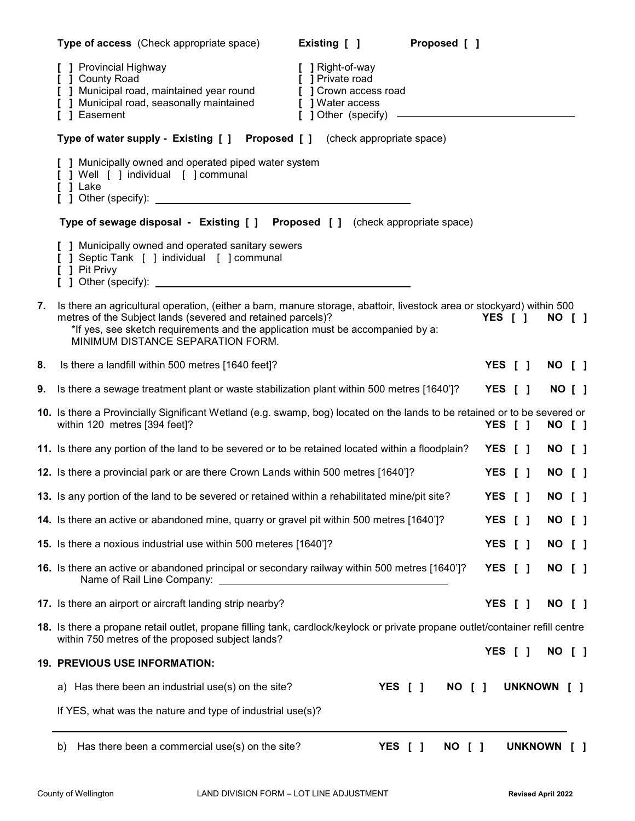|    | Type of access (Check appropriate space)<br>Proposed [ ]<br>Existing [ ]                                                                                                                                                                                                                                                    |         |  |                |                                        |  |
|----|-----------------------------------------------------------------------------------------------------------------------------------------------------------------------------------------------------------------------------------------------------------------------------------------------------------------------------|---------|--|----------------|----------------------------------------|--|
|    | <b>]</b> Provincial Highway<br>[ ] Right-of-way<br><b>J</b> County Road<br>[ ] Private road<br>] Municipal road, maintained year round<br>[ ] Crown access road<br>J Municipal road, seasonally maintained<br>[ ] Water access<br>] Easement<br>[ ] Other (specify) -<br><u> 1980 - Johann Barn, amerikansk politiker (</u> |         |  |                |                                        |  |
|    | Type of water supply - Existing [ ] Proposed [ ] (check appropriate space)                                                                                                                                                                                                                                                  |         |  |                |                                        |  |
|    | [ ] Municipally owned and operated piped water system<br>[ ] Well [ ] individual [ ] communal<br>$[]$ Lake                                                                                                                                                                                                                  |         |  |                |                                        |  |
|    | Type of sewage disposal - Existing [ ] Proposed [ ] (check appropriate space)                                                                                                                                                                                                                                               |         |  |                |                                        |  |
|    | [ ] Municipally owned and operated sanitary sewers<br>Septic Tank [ ] individual [ ] communal<br>[ ] Pit Privy                                                                                                                                                                                                              |         |  |                |                                        |  |
| 7. | Is there an agricultural operation, (either a barn, manure storage, abattoir, livestock area or stockyard) within 500<br>metres of the Subject lands (severed and retained parcels)?<br>*If yes, see sketch requirements and the application must be accompanied by a:<br>MINIMUM DISTANCE SEPARATION FORM.                 | YES [ ] |  | <b>NO [ ]</b>  |                                        |  |
| 8. | Is there a landfill within 500 metres [1640 feet]?                                                                                                                                                                                                                                                                          | YES [ ] |  | <b>NO [ ]</b>  |                                        |  |
| 9. | Is there a sewage treatment plant or waste stabilization plant within 500 metres [1640']?                                                                                                                                                                                                                                   | YES [ ] |  | <b>NO [ ]</b>  |                                        |  |
|    | 10. Is there a Provincially Significant Wetland (e.g. swamp, bog) located on the lands to be retained or to be severed or<br>within 120 metres [394 feet]?                                                                                                                                                                  | YES [ ] |  | NO [ ]         |                                        |  |
|    | 11. Is there any portion of the land to be severed or to be retained located within a floodplain?                                                                                                                                                                                                                           | YES [ ] |  | NO [ ]         |                                        |  |
|    | 12. Is there a provincial park or are there Crown Lands within 500 metres [1640']?                                                                                                                                                                                                                                          | YES [ ] |  | <b>NO [ ]</b>  |                                        |  |
|    | 13. Is any portion of the land to be severed or retained within a rehabilitated mine/pit site?                                                                                                                                                                                                                              | YES [ ] |  | NO [ ]         |                                        |  |
|    | 14. Is there an active or abandoned mine, quarry or gravel pit within 500 metres [1640']?                                                                                                                                                                                                                                   | YES [ ] |  | NO             | $\begin{array}{c} \square \end{array}$ |  |
|    | 15. Is there a noxious industrial use within 500 meteres [1640']?                                                                                                                                                                                                                                                           | YES [ ] |  | NO [ ]         |                                        |  |
|    | 16. Is there an active or abandoned principal or secondary railway within 500 metres [1640']?<br>Name of Rail Line Company:                                                                                                                                                                                                 | YES [ ] |  | NO [ ]         |                                        |  |
|    | 17. Is there an airport or aircraft landing strip nearby?                                                                                                                                                                                                                                                                   | YES [ ] |  | <b>NO [ ]</b>  |                                        |  |
|    | 18. Is there a propane retail outlet, propane filling tank, cardlock/keylock or private propane outlet/container refill centre<br>within 750 metres of the proposed subject lands?                                                                                                                                          |         |  | <b>NO [ ]</b>  |                                        |  |
|    | <b>19. PREVIOUS USE INFORMATION:</b>                                                                                                                                                                                                                                                                                        | YES [ ] |  |                |                                        |  |
|    | a) Has there been an industrial use(s) on the site?<br>YES [ ]<br>NO [ ]                                                                                                                                                                                                                                                    |         |  | <b>UNKNOWN</b> | L 1                                    |  |
|    | If YES, what was the nature and type of industrial use(s)?                                                                                                                                                                                                                                                                  |         |  |                |                                        |  |
|    | Has there been a commercial use(s) on the site?<br>YES [ ]<br>NO [ ]<br>b)                                                                                                                                                                                                                                                  |         |  | <b>UNKNOWN</b> |                                        |  |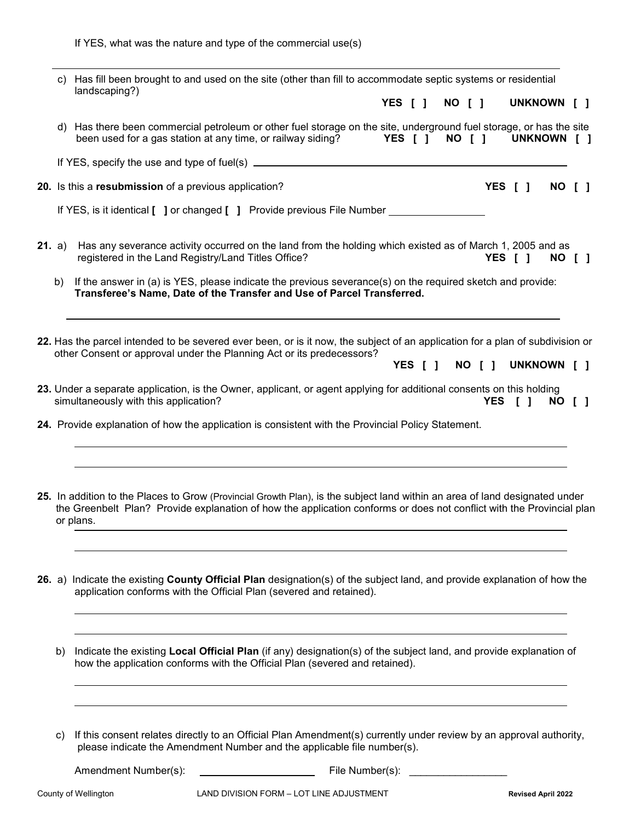If YES, what was the nature and type of the commercial use(s)

|  | c) Has fill been brought to and used on the site (other than fill to accommodate septic systems or residential<br>landscaping?) |                                                                                                                                                                                                                                                                   |
|--|---------------------------------------------------------------------------------------------------------------------------------|-------------------------------------------------------------------------------------------------------------------------------------------------------------------------------------------------------------------------------------------------------------------|
|  |                                                                                                                                 | UNKNOWN [ ]<br>YES [ ]<br>NO [ ]                                                                                                                                                                                                                                  |
|  |                                                                                                                                 | d) Has there been commercial petroleum or other fuel storage on the site, underground fuel storage, or has the site<br>been used for a gas station at any time, or railway siding?<br>YES [ ]<br>NO [ ]<br>UNKNOWN [ ]                                            |
|  |                                                                                                                                 |                                                                                                                                                                                                                                                                   |
|  |                                                                                                                                 | 20. Is this a resubmission of a previous application?<br>YES [ ]<br>NO I 1                                                                                                                                                                                        |
|  |                                                                                                                                 | If YES, is it identical [ ] or changed [ ] Provide previous File Number _____                                                                                                                                                                                     |
|  | <b>21.</b> a)                                                                                                                   | Has any severance activity occurred on the land from the holding which existed as of March 1, 2005 and as<br>registered in the Land Registry/Land Titles Office?<br>YES [ ]<br>NO [ ]                                                                             |
|  | b)                                                                                                                              | If the answer in (a) is YES, please indicate the previous severance(s) on the required sketch and provide:<br>Transferee's Name, Date of the Transfer and Use of Parcel Transferred.                                                                              |
|  |                                                                                                                                 | 22. Has the parcel intended to be severed ever been, or is it now, the subject of an application for a plan of subdivision or<br>other Consent or approval under the Planning Act or its predecessors?<br>UNKNOWN [ ]<br>NO [ ]<br><b>YES</b><br>$\sqrt{1}$       |
|  |                                                                                                                                 | 23. Under a separate application, is the Owner, applicant, or agent applying for additional consents on this holding<br>simultaneously with this application?<br><b>YES</b><br>$\sqrt{1}$<br>NO [ ]                                                               |
|  |                                                                                                                                 | 24. Provide explanation of how the application is consistent with the Provincial Policy Statement.                                                                                                                                                                |
|  |                                                                                                                                 | 25. In addition to the Places to Grow (Provincial Growth Plan), is the subject land within an area of land designated under<br>the Greenbelt Plan? Provide explanation of how the application conforms or does not conflict with the Provincial plan<br>or plans. |
|  | <b>26.</b> a)                                                                                                                   | Indicate the existing County Official Plan designation(s) of the subject land, and provide explanation of how the<br>application conforms with the Official Plan (severed and retained).                                                                          |
|  | b)                                                                                                                              | Indicate the existing Local Official Plan (if any) designation(s) of the subject land, and provide explanation of<br>how the application conforms with the Official Plan (severed and retained).                                                                  |
|  | C)                                                                                                                              | If this consent relates directly to an Official Plan Amendment(s) currently under review by an approval authority,<br>please indicate the Amendment Number and the applicable file number(s).                                                                     |

Amendment Number(s): File Number(s): \_\_\_\_\_\_\_\_\_\_\_\_\_\_\_\_\_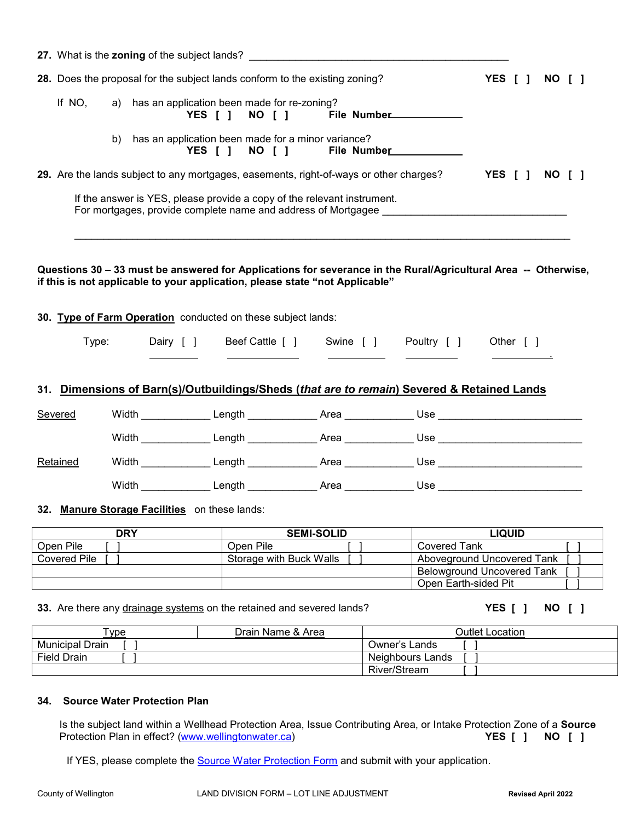|                                               |                                                                                               |               | 27. What is the zoning of the subject lands?                                                                                                                                                   |           |                         |  |                                                      |                                              |        |  |
|-----------------------------------------------|-----------------------------------------------------------------------------------------------|---------------|------------------------------------------------------------------------------------------------------------------------------------------------------------------------------------------------|-----------|-------------------------|--|------------------------------------------------------|----------------------------------------------|--------|--|
|                                               | 28. Does the proposal for the subject lands conform to the existing zoning?<br>YES [ ] NO [ ] |               |                                                                                                                                                                                                |           |                         |  |                                                      |                                              |        |  |
|                                               | If NO,                                                                                        |               | a) has an application been made for re-zoning?<br>YES [ ]                                                                                                                                      | NO [ ]    |                         |  | File Number 2008                                     |                                              |        |  |
|                                               |                                                                                               | b)            | has an application been made for a minor variance?<br>YES [ ]                                                                                                                                  | NO [ ]    |                         |  | File Number                                          |                                              |        |  |
|                                               |                                                                                               |               | 29. Are the lands subject to any mortgages, easements, right-of-ways or other charges?                                                                                                         |           |                         |  |                                                      | YES [ ] NO [ ]                               |        |  |
|                                               |                                                                                               |               | If the answer is YES, please provide a copy of the relevant instrument.                                                                                                                        |           |                         |  |                                                      |                                              |        |  |
|                                               |                                                                                               |               | Questions 30 - 33 must be answered for Applications for severance in the Rural/Agricultural Area -- Otherwise,<br>if this is not applicable to your application, please state "not Applicable" |           |                         |  |                                                      |                                              |        |  |
|                                               |                                                                                               |               | 30. Type of Farm Operation conducted on these subject lands:                                                                                                                                   |           |                         |  |                                                      |                                              |        |  |
|                                               | Type:                                                                                         |               |                                                                                                                                                                                                |           |                         |  | Dairy [] Beef Cattle [] Swine [] Poultry [] Other [] |                                              |        |  |
|                                               |                                                                                               |               | 31. Dimensions of Barn(s)/Outbuildings/Sheds (that are to remain) Severed & Retained Lands                                                                                                     |           |                         |  |                                                      |                                              |        |  |
|                                               | <b>Severed</b>                                                                                |               |                                                                                                                                                                                                |           |                         |  |                                                      |                                              |        |  |
|                                               |                                                                                               |               |                                                                                                                                                                                                |           |                         |  |                                                      |                                              |        |  |
|                                               | Retained                                                                                      |               |                                                                                                                                                                                                |           |                         |  |                                                      |                                              |        |  |
|                                               |                                                                                               |               |                                                                                                                                                                                                |           |                         |  |                                                      |                                              |        |  |
| 32. Manure Storage Facilities on these lands: |                                                                                               |               |                                                                                                                                                                                                |           |                         |  |                                                      |                                              |        |  |
|                                               |                                                                                               | <b>DRY</b>    |                                                                                                                                                                                                |           | <b>SEMI-SOLID</b>       |  |                                                      | <b>LIQUID</b>                                |        |  |
|                                               | Open Pile                                                                                     |               |                                                                                                                                                                                                | Open Pile |                         |  | <b>Covered Tank</b>                                  |                                              |        |  |
|                                               | <b>Covered Pile</b>                                                                           |               |                                                                                                                                                                                                |           | Storage with Buck Walls |  | Aboveground Uncovered Tank                           |                                              |        |  |
|                                               |                                                                                               |               |                                                                                                                                                                                                |           |                         |  | <b>Belowground Uncovered Tank</b>                    |                                              |        |  |
|                                               |                                                                                               |               |                                                                                                                                                                                                |           |                         |  | Open Earth-sided Pit                                 |                                              |        |  |
|                                               |                                                                                               |               | 33. Are there any drainage systems on the retained and severed lands?                                                                                                                          |           |                         |  |                                                      | <b>YES</b> [ ]                               | NO [ ] |  |
|                                               |                                                                                               | $T_{\rm max}$ |                                                                                                                                                                                                | $D = L$   |                         |  |                                                      | $\bigcap$ . $H = 1$ $\bigcup_{n=1}^{\infty}$ |        |  |

| ype                | ⊃rain<br>Name & Area | <b>Dutlet</b><br>Location |
|--------------------|----------------------|---------------------------|
| Municipal<br>Drain |                      | Owner's Lands             |
| <b>Field Drain</b> |                      | Neighbours Lands          |
|                    |                      | <b>River/Stream</b>       |

### **34. Source Water Protection Plan**

Is the subject land within a Wellhead Protection Area, Issue Contributing Area, or Intake Protection Zone of a **Source**  Protection Plan in effect? [\(www.wellingtonwater.ca\)](http://www.wellingtonwater.ca/)

If YES, please complete the **Source Water Protection Form** and submit with your application.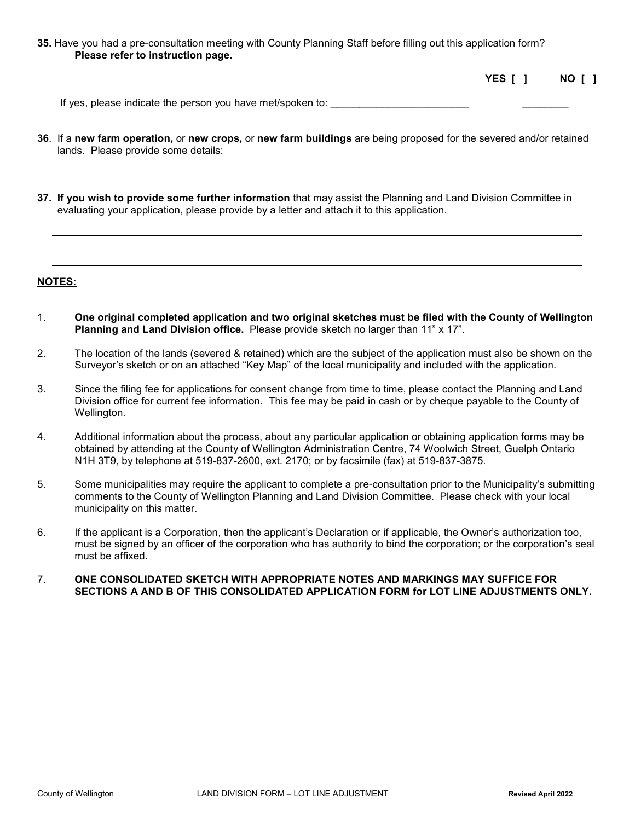**35.** Have you had a pre-consultation meeting with County Planning Staff before filling out this application form? **Please refer to instruction page.**

| YES [ ] |  | NO [ ] |  |
|---------|--|--------|--|
|         |  |        |  |

If yes, please indicate the person you have met/spoken to: \_\_\_\_\_\_\_\_\_\_\_\_\_\_\_\_\_\_\_\_\_

- **36**. If a **new farm operation,** or **new crops,** or **new farm buildings** are being proposed for the severed and/or retained lands. Please provide some details:
- **37. If you wish to provide some further information** that may assist the Planning and Land Division Committee in evaluating your application, please provide by a letter and attach it to this application.

#### **NOTES:**

- 1. **One original completed application and two original sketches must be filed with the County of Wellington Planning and Land Division office.** Please provide sketch no larger than 11" x 17".
- 2. The location of the lands (severed & retained) which are the subject of the application must also be shown on the Surveyor's sketch or on an attached "Key Map" of the local municipality and included with the application.
- 3. Since the filing fee for applications for consent change from time to time, please contact the Planning and Land Division office for current fee information. This fee may be paid in cash or by cheque payable to the County of Wellington.
- 4. Additional information about the process, about any particular application or obtaining application forms may be obtained by attending at the County of Wellington Administration Centre, 74 Woolwich Street, Guelph Ontario N1H 3T9, by telephone at 519-837-2600, ext. 2170; or by facsimile (fax) at 519-837-3875.
- 5. Some municipalities may require the applicant to complete a pre-consultation prior to the Municipality's submitting comments to the County of Wellington Planning and Land Division Committee. Please check with your local municipality on this matter.
- 6. If the applicant is a Corporation, then the applicant's Declaration or if applicable, the Owner's authorization too, must be signed by an officer of the corporation who has authority to bind the corporation; or the corporation's seal must be affixed.
- 7. **ONE CONSOLIDATED SKETCH WITH APPROPRIATE NOTES AND MARKINGS MAY SUFFICE FOR SECTIONS A AND B OF THIS CONSOLIDATED APPLICATION FORM for LOT LINE ADJUSTMENTS ONLY.**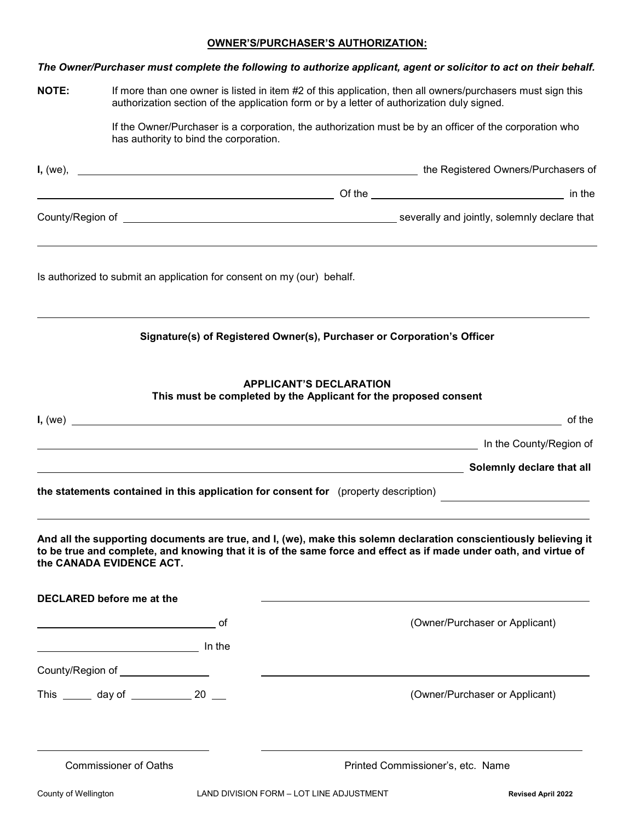### **OWNER'S/PURCHASER'S AUTHORIZATION:**

|              |                                           |                                                                        | The Owner/Purchaser must complete the following to authorize applicant, agent or solicitor to act on their behalf.                                                                                                                     |
|--------------|-------------------------------------------|------------------------------------------------------------------------|----------------------------------------------------------------------------------------------------------------------------------------------------------------------------------------------------------------------------------------|
| <b>NOTE:</b> |                                           |                                                                        | If more than one owner is listed in item #2 of this application, then all owners/purchasers must sign this<br>authorization section of the application form or by a letter of authorization duly signed.                               |
|              |                                           | has authority to bind the corporation.                                 | If the Owner/Purchaser is a corporation, the authorization must be by an officer of the corporation who                                                                                                                                |
|              |                                           |                                                                        |                                                                                                                                                                                                                                        |
|              |                                           |                                                                        |                                                                                                                                                                                                                                        |
|              |                                           |                                                                        |                                                                                                                                                                                                                                        |
|              |                                           | Is authorized to submit an application for consent on my (our) behalf. |                                                                                                                                                                                                                                        |
|              |                                           |                                                                        | Signature(s) of Registered Owner(s), Purchaser or Corporation's Officer                                                                                                                                                                |
|              |                                           |                                                                        | <b>APPLICANT'S DECLARATION</b><br>This must be completed by the Applicant for the proposed consent                                                                                                                                     |
|              |                                           |                                                                        | of the                                                                                                                                                                                                                                 |
|              |                                           |                                                                        |                                                                                                                                                                                                                                        |
|              |                                           |                                                                        | Solemnly declare that all experience in the contract of the Solemnly declare that all                                                                                                                                                  |
|              |                                           |                                                                        | the statements contained in this application for consent for (property description)                                                                                                                                                    |
|              | the CANADA EVIDENCE ACT.                  |                                                                        | And all the supporting documents are true, and I, (we), make this solemn declaration conscientiously believing it<br>to be true and complete, and knowing that it is of the same force and effect as if made under oath, and virtue of |
|              | DECLARED before me at the                 |                                                                        |                                                                                                                                                                                                                                        |
|              |                                           |                                                                        | (Owner/Purchaser or Applicant)                                                                                                                                                                                                         |
|              |                                           |                                                                        |                                                                                                                                                                                                                                        |
|              | County/Region of _________________        |                                                                        |                                                                                                                                                                                                                                        |
|              | This _______ day of ______________ 20 ___ |                                                                        | (Owner/Purchaser or Applicant)                                                                                                                                                                                                         |
|              | <b>Commissioner of Oaths</b>              |                                                                        | Printed Commissioner's, etc. Name                                                                                                                                                                                                      |